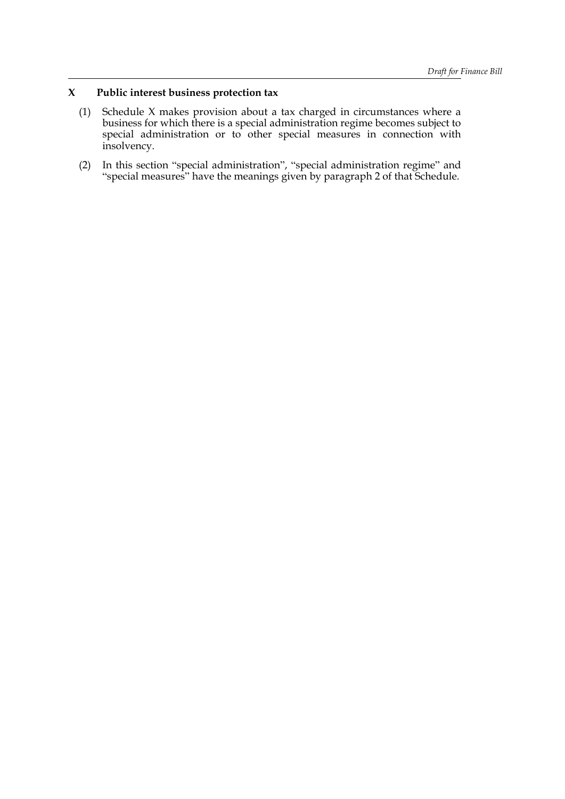# **X Public interest business protection tax**

- (1) Schedule X makes provision about a tax charged in circumstances where a business for which there is a special administration regime becomes subject to special administration or to other special measures in connection with insolvency.
- (2) In this section "special administration", "special administration regime" and "special measures" have the meanings given by paragraph 2 of that Schedule.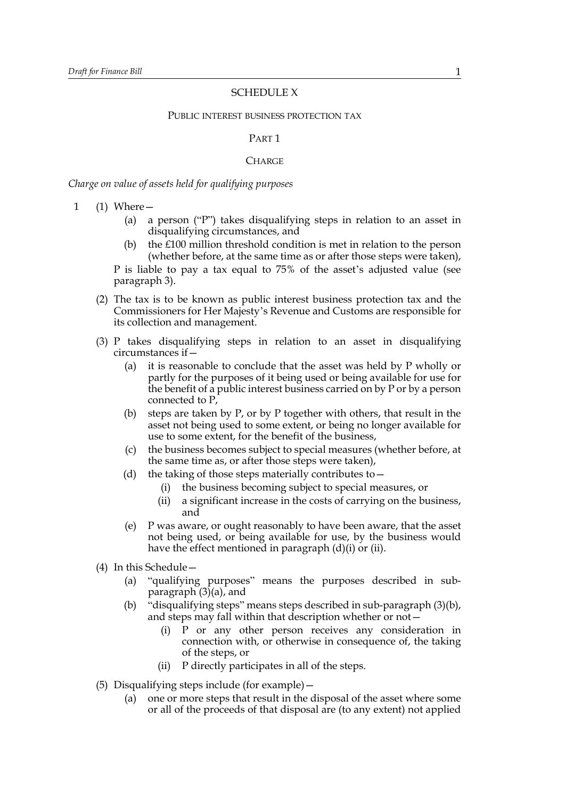### SCHEDULE X

#### PUBLIC INTEREST BUSINESS PROTECTION TAX

### PART 1

# **CHARGE**

*Charge on value of assets held for qualifying purposes*

- <span id="page-1-4"></span><span id="page-1-3"></span><span id="page-1-2"></span><span id="page-1-1"></span><span id="page-1-0"></span>1 (1) Where—
	- (a) a person ("P") takes disqualifying steps in relation to an asset in disqualifying circumstances, and
	- (b) the £100 million threshold condition is met in relation to the person (whether before, at the same time as or after those steps were taken), P is liable to pay a tax equal to 75% of the asset's adjusted value (see paragraph [3](#page-3-0)).
	- (2) The tax is to be known as public interest business protection tax and the Commissioners for Her Majesty's Revenue and Customs are responsible for its collection and management.
	- (3) P takes disqualifying steps in relation to an asset in disqualifying circumstances if—
		- (a) it is reasonable to conclude that the asset was held by P wholly or partly for the purposes of it being used or being available for use for the benefit of a public interest business carried on by P or by a person connected to P,
		- (b) steps are taken by P, or by P together with others, that result in the asset not being used to some extent, or being no longer available for use to some extent, for the benefit of the business,
		- (c) the business becomes subject to special measures (whether before, at the same time as, or after those steps were taken),
		- (d) the taking of those steps materially contributes to  $-$ 
			- (i) the business becoming subject to special measures, or
			- (ii) a significant increase in the costs of carrying on the business, and
		- (e) P was aware, or ought reasonably to have been aware, that the asset not being used, or being available for use, by the business would have the effect mentioned in paragraph [\(d\)\(i\)](#page-1-0) or [\(ii\)](#page-1-1).
	- (4) In this Schedule—
		- (a) "qualifying purposes" means the purposes described in subparagraph  $(3)(a)$ , and
		- (b) "disqualifying steps" means steps described in sub-paragraph [\(3\)\(b\)](#page-1-3), and steps may fall within that description whether or not—
			- (i) P or any other person receives any consideration in connection with, or otherwise in consequence of, the taking of the steps, or
			- (ii) P directly participates in all of the steps.
	- (5) Disqualifying steps include (for example)—
		- (a) one or more steps that result in the disposal of the asset where some or all of the proceeds of that disposal are (to any extent) not applied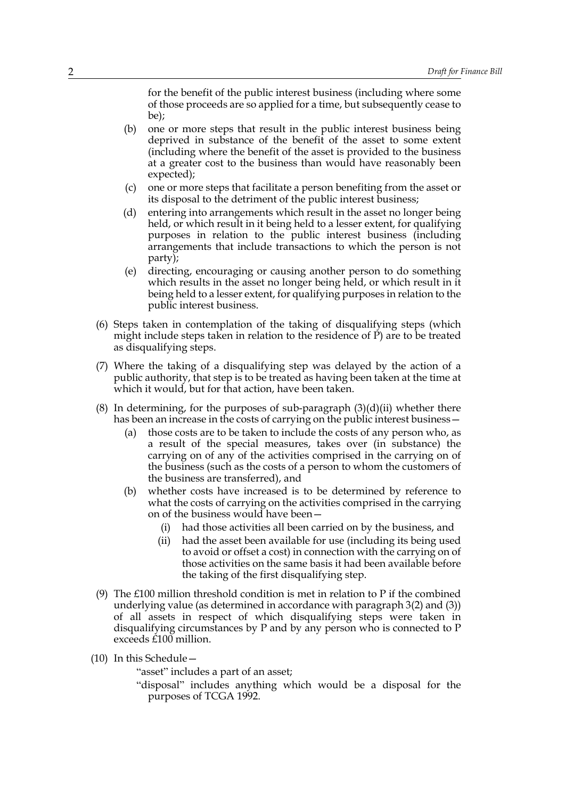for the benefit of the public interest business (including where some of those proceeds are so applied for a time, but subsequently cease to be);

- (b) one or more steps that result in the public interest business being deprived in substance of the benefit of the asset to some extent (including where the benefit of the asset is provided to the business at a greater cost to the business than would have reasonably been expected);
- (c) one or more steps that facilitate a person benefiting from the asset or its disposal to the detriment of the public interest business;
- (d) entering into arrangements which result in the asset no longer being held, or which result in it being held to a lesser extent, for qualifying purposes in relation to the public interest business (including arrangements that include transactions to which the person is not party);
- (e) directing, encouraging or causing another person to do something which results in the asset no longer being held, or which result in it being held to a lesser extent, for qualifying purposes in relation to the public interest business.
- (6) Steps taken in contemplation of the taking of disqualifying steps (which might include steps taken in relation to the residence of P) are to be treated as disqualifying steps.
- (7) Where the taking of a disqualifying step was delayed by the action of a public authority, that step is to be treated as having been taken at the time at which it would, but for that action, have been taken.
- (8) In determining, for the purposes of sub-paragraph  $(3)(d)(ii)$  whether there has been an increase in the costs of carrying on the public interest business -
	- (a) those costs are to be taken to include the costs of any person who, as a result of the special measures, takes over (in substance) the carrying on of any of the activities comprised in the carrying on of the business (such as the costs of a person to whom the customers of the business are transferred), and
	- (b) whether costs have increased is to be determined by reference to what the costs of carrying on the activities comprised in the carrying on of the business would have been—
		- (i) had those activities all been carried on by the business, and
		- (ii) had the asset been available for use (including its being used to avoid or offset a cost) in connection with the carrying on of those activities on the same basis it had been available before the taking of the first disqualifying step.
- <span id="page-2-0"></span>(9) The £100 million threshold condition is met in relation to P if the combined underlying value (as determined in accordance with paragraph [3\(2\)](#page-4-0) and [\(3\)](#page-4-1)) of all assets in respect of which disqualifying steps were taken in disqualifying circumstances by P and by any person who is connected to P exceeds £100 million.
- <span id="page-2-1"></span>(10) In this Schedule—

"asset" includes a part of an asset;

"disposal" includes anything which would be a disposal for the purposes of TCGA 1992.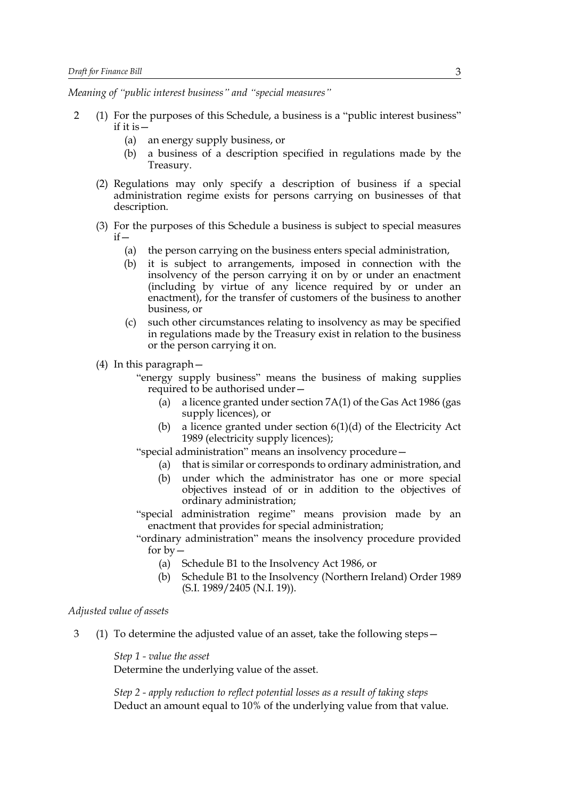*Meaning of "public interest business" and "special measures"*

- <span id="page-3-2"></span><span id="page-3-1"></span>2 (1) For the purposes of this Schedule, a business is a "public interest business" if it is—
	- (a) an energy supply business, or
	- (b) a business of a description specified in regulations made by the Treasury.
	- (2) Regulations may only specify a description of business if a special administration regime exists for persons carrying on businesses of that description.
	- (3) For the purposes of this Schedule a business is subject to special measures if—
		- (a) the person carrying on the business enters special administration,
		- (b) it is subject to arrangements, imposed in connection with the insolvency of the person carrying it on by or under an enactment (including by virtue of any licence required by or under an enactment), for the transfer of customers of the business to another business, or
		- (c) such other circumstances relating to insolvency as may be specified in regulations made by the Treasury exist in relation to the business or the person carrying it on.
	- (4) In this paragraph—
		- "energy supply business" means the business of making supplies required to be authorised under—
			- (a) a licence granted under section 7A(1) of the Gas Act 1986 (gas supply licences), or
			- (b) a licence granted under section  $6(1)(d)$  of the Electricity Act 1989 (electricity supply licences);

"special administration" means an insolvency procedure—

- (a) that is similar or corresponds to ordinary administration, and
- (b) under which the administrator has one or more special objectives instead of or in addition to the objectives of ordinary administration;
- "special administration regime" means provision made by an enactment that provides for special administration;
- "ordinary administration" means the insolvency procedure provided for  $by-$ 
	- (a) Schedule B1 to the Insolvency Act 1986, or
	- (b) Schedule B1 to the Insolvency (Northern Ireland) Order 1989 (S.I. 1989/2405 (N.I. 19)).

### *Adjusted value of assets*

<span id="page-3-0"></span>3 (1) To determine the adjusted value of an asset, take the following steps—

*Step 1 - value the asset* Determine the underlying value of the asset.

*Step 2 - apply reduction to reflect potential losses as a result of taking steps* Deduct an amount equal to 10% of the underlying value from that value.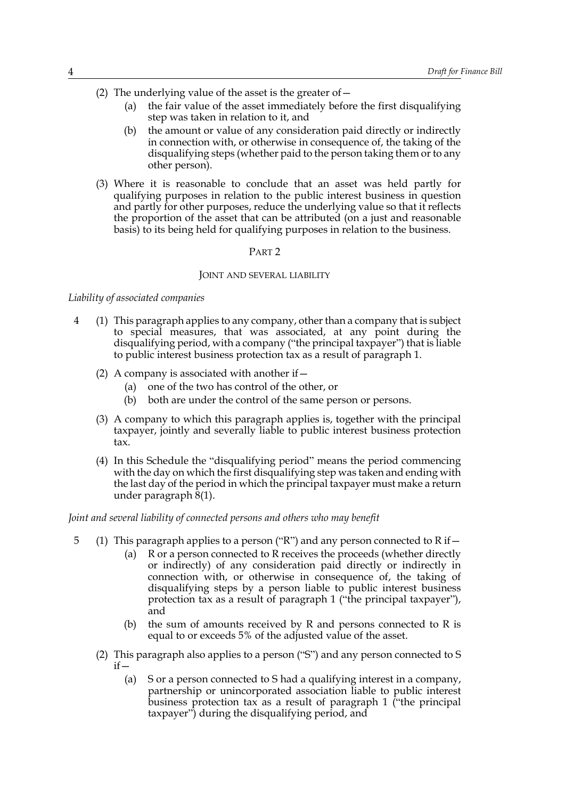- <span id="page-4-0"></span>(2) The underlying value of the asset is the greater of  $-$ 
	- (a) the fair value of the asset immediately before the first disqualifying step was taken in relation to it, and
	- (b) the amount or value of any consideration paid directly or indirectly in connection with, or otherwise in consequence of, the taking of the disqualifying steps (whether paid to the person taking them or to any other person).
- <span id="page-4-1"></span>(3) Where it is reasonable to conclude that an asset was held partly for qualifying purposes in relation to the public interest business in question and partly for other purposes, reduce the underlying value so that it reflects the proportion of the asset that can be attributed (on a just and reasonable basis) to its being held for qualifying purposes in relation to the business.

# PART 2

#### JOINT AND SEVERAL LIABILITY

### *Liability of associated companies*

- <span id="page-4-2"></span>4 (1) This paragraph applies to any company, other than a company that is subject to special measures, that was associated, at any point during the disqualifying period, with a company ("the principal taxpayer") that is liable to public interest business protection tax as a result of paragraph [1](#page-1-4).
	- (2) A company is associated with another if  $-$ 
		- (a) one of the two has control of the other, or
		- (b) both are under the control of the same person or persons.
	- (3) A company to which this paragraph applies is, together with the principal taxpayer, jointly and severally liable to public interest business protection tax.
	- (4) In this Schedule the "disqualifying period" means the period commencing with the day on which the first disqualifying step was taken and ending with the last day of the period in which the principal taxpayer must make a return under paragraph  $\bar{8}(1)$ .

#### <span id="page-4-5"></span>*Joint and several liability of connected persons and others who may benefit*

- <span id="page-4-4"></span><span id="page-4-3"></span>5 (1) This paragraph applies to a person ("R") and any person connected to R if  $-$ 
	- (a) R or a person connected to R receives the proceeds (whether directly or indirectly) of any consideration paid directly or indirectly in connection with, or otherwise in consequence of, the taking of disqualifying steps by a person liable to public interest business protection tax as a result of paragraph [1](#page-1-4) ("the principal taxpayer"), and
	- (b) the sum of amounts received by  $R$  and persons connected to  $R$  is equal to or exceeds 5% of the adjusted value of the asset.
	- (2) This paragraph also applies to a person ("S") and any person connected to S  $if -$ 
		- (a) S or a person connected to S had a qualifying interest in a company, partnership or unincorporated association liable to public interest business protection tax as a result of paragraph [1](#page-1-4) ("the principal taxpayer") during the disqualifying period, and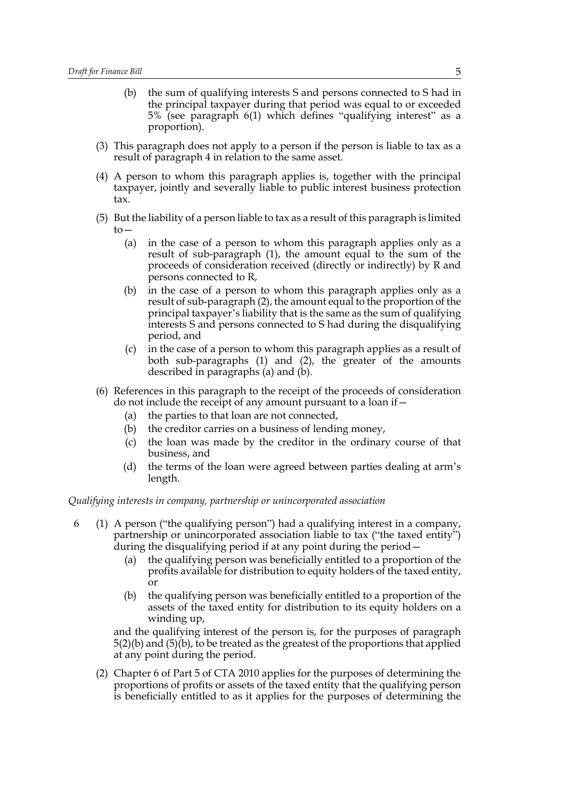- <span id="page-5-3"></span>(b) the sum of qualifying interests S and persons connected to S had in the principal taxpayer during that period was equal to or exceeded 5% (see paragraph [6\(1\)](#page-5-0) which defines "qualifying interest" as a proportion).
- (3) This paragraph does not apply to a person if the person is liable to tax as a result of paragraph [4](#page-4-2) in relation to the same asset.
- (4) A person to whom this paragraph applies is, together with the principal taxpayer, jointly and severally liable to public interest business protection tax.
- <span id="page-5-2"></span><span id="page-5-1"></span>(5) But the liability of a person liable to tax as a result of this paragraph is limited  $to-$ 
	- (a) in the case of a person to whom this paragraph applies only as a result of sub-paragraph [\(1\)](#page-4-3), the amount equal to the sum of the proceeds of consideration received (directly or indirectly) by R and persons connected to R,
	- (b) in the case of a person to whom this paragraph applies only as a result of sub-paragraph [\(2\)](#page-4-4), the amount equal to the proportion of the principal taxpayer's liability that is the same as the sum of qualifying interests S and persons connected to S had during the disqualifying period, and
	- (c) in the case of a person to whom this paragraph applies as a result of both sub-paragraphs [\(1\)](#page-4-3) and [\(2\),](#page-4-4) the greater of the amounts described in paragraphs [\(a\)](#page-5-1) and [\(b\).](#page-5-2)
- (6) References in this paragraph to the receipt of the proceeds of consideration do not include the receipt of any amount pursuant to a loan if—
	- (a) the parties to that loan are not connected,
	- (b) the creditor carries on a business of lending money,
	- (c) the loan was made by the creditor in the ordinary course of that business, and
	- (d) the terms of the loan were agreed between parties dealing at arm's length.

### *Qualifying interests in company, partnership or unincorporated association*

- <span id="page-5-0"></span>6 (1) A person ("the qualifying person") had a qualifying interest in a company, partnership or unincorporated association liable to tax ("the taxed entity") during the disqualifying period if at any point during the period—
	- (a) the qualifying person was beneficially entitled to a proportion of the profits available for distribution to equity holders of the taxed entity, or
	- (b) the qualifying person was beneficially entitled to a proportion of the assets of the taxed entity for distribution to its equity holders on a winding up,

and the qualifying interest of the person is, for the purposes of paragraph [5\(2\)\(b\)](#page-5-3) and [\(5\)\(b\),](#page-5-2) to be treated as the greatest of the proportions that applied at any point during the period.

(2) Chapter 6 of Part 5 of CTA 2010 applies for the purposes of determining the proportions of profits or assets of the taxed entity that the qualifying person is beneficially entitled to as it applies for the purposes of determining the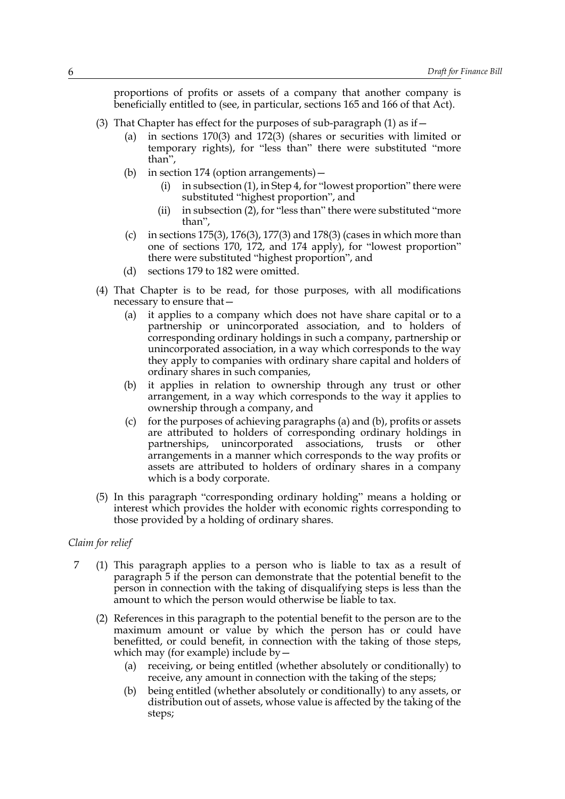proportions of profits or assets of a company that another company is beneficially entitled to (see, in particular, sections 165 and 166 of that Act).

- (3) That Chapter has effect for the purposes of sub-paragraph  $(1)$  as if  $-$ 
	- (a) in sections 170(3) and 172(3) (shares or securities with limited or temporary rights), for "less than" there were substituted "more than",
	- (b) in section 174 (option arrangements)—
		- (i) in subsection (1), in Step 4, for "lowest proportion" there were substituted "highest proportion", and
		- (ii) in subsection (2), for "less than" there were substituted "more than",
	- (c) in sections 175(3), 176(3), 177(3) and 178(3) (cases in which more than one of sections 170, 172, and 174 apply), for "lowest proportion" there were substituted "highest proportion", and
	- (d) sections 179 to 182 were omitted.
- <span id="page-6-1"></span><span id="page-6-0"></span>(4) That Chapter is to be read, for those purposes, with all modifications necessary to ensure that—
	- (a) it applies to a company which does not have share capital or to a partnership or unincorporated association, and to holders of corresponding ordinary holdings in such a company, partnership or unincorporated association, in a way which corresponds to the way they apply to companies with ordinary share capital and holders of ordinary shares in such companies,
	- (b) it applies in relation to ownership through any trust or other arrangement, in a way which corresponds to the way it applies to ownership through a company, and
	- (c) for the purposes of achieving paragraphs [\(a\)](#page-6-0) and [\(b\),](#page-6-1) profits or assets are attributed to holders of corresponding ordinary holdings in partnerships, unincorporated associations, trusts or other arrangements in a manner which corresponds to the way profits or assets are attributed to holders of ordinary shares in a company which is a body corporate.
- (5) In this paragraph "corresponding ordinary holding" means a holding or interest which provides the holder with economic rights corresponding to those provided by a holding of ordinary shares.

### *Claim for relief*

- <span id="page-6-2"></span>7 (1) This paragraph applies to a person who is liable to tax as a result of paragraph [5](#page-4-3) if the person can demonstrate that the potential benefit to the person in connection with the taking of disqualifying steps is less than the amount to which the person would otherwise be liable to tax.
	- (2) References in this paragraph to the potential benefit to the person are to the maximum amount or value by which the person has or could have benefitted, or could benefit, in connection with the taking of those steps, which may (for example) include by  $-$ 
		- (a) receiving, or being entitled (whether absolutely or conditionally) to receive, any amount in connection with the taking of the steps;
		- (b) being entitled (whether absolutely or conditionally) to any assets, or distribution out of assets, whose value is affected by the taking of the steps;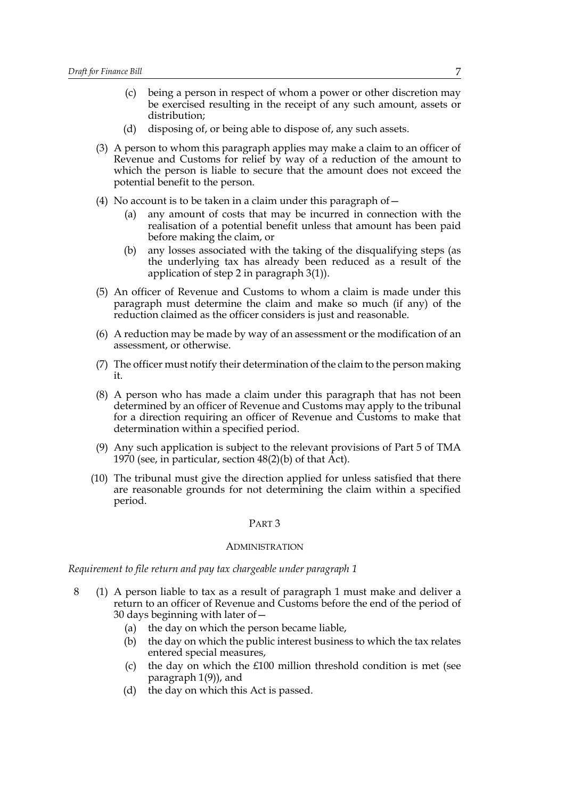- (c) being a person in respect of whom a power or other discretion may be exercised resulting in the receipt of any such amount, assets or distribution;
- (d) disposing of, or being able to dispose of, any such assets.
- (3) A person to whom this paragraph applies may make a claim to an officer of Revenue and Customs for relief by way of a reduction of the amount to which the person is liable to secure that the amount does not exceed the potential benefit to the person.
- (4) No account is to be taken in a claim under this paragraph of  $-$ 
	- (a) any amount of costs that may be incurred in connection with the realisation of a potential benefit unless that amount has been paid before making the claim, or
	- (b) any losses associated with the taking of the disqualifying steps (as the underlying tax has already been reduced as a result of the application of step 2 in paragraph [3\(1\)](#page-3-0)).
- (5) An officer of Revenue and Customs to whom a claim is made under this paragraph must determine the claim and make so much (if any) of the reduction claimed as the officer considers is just and reasonable.
- (6) A reduction may be made by way of an assessment or the modification of an assessment, or otherwise.
- <span id="page-7-1"></span>(7) The officer must notify their determination of the claim to the person making it.
- (8) A person who has made a claim under this paragraph that has not been determined by an officer of Revenue and Customs may apply to the tribunal for a direction requiring an officer of Revenue and Customs to make that determination within a specified period.
- (9) Any such application is subject to the relevant provisions of Part 5 of TMA 1970 (see, in particular, section 48(2)(b) of that Act).
- <span id="page-7-2"></span>(10) The tribunal must give the direction applied for unless satisfied that there are reasonable grounds for not determining the claim within a specified period.

#### PART 3

#### ADMINISTRATION

*Requirement to file return and pay tax chargeable under paragraph [1](#page-1-4)*

- <span id="page-7-0"></span>8 (1) A person liable to tax as a result of paragraph [1](#page-1-4) must make and deliver a return to an officer of Revenue and Customs before the end of the period of 30 days beginning with later of—
	- (a) the day on which the person became liable,
	- (b) the day on which the public interest business to which the tax relates entered special measures,
	- (c) the day on which the  $£100$  million threshold condition is met (see paragraph [1\(9\)\)](#page-2-0), and
	- (d) the day on which this Act is passed.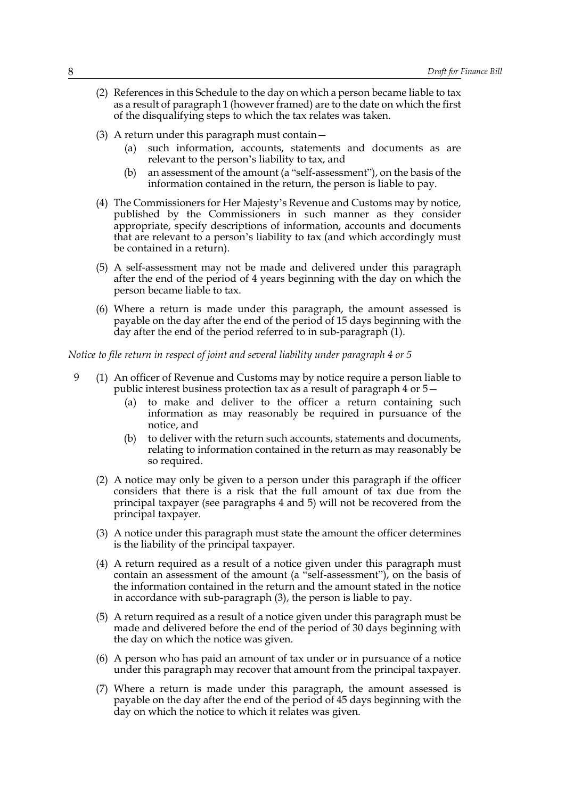- (2) References in this Schedule to the day on which a person became liable to tax as a result of paragraph [1](#page-1-4) (however framed) are to the date on which the first of the disqualifying steps to which the tax relates was taken.
- (3) A return under this paragraph must contain—
	- (a) such information, accounts, statements and documents as are relevant to the person's liability to tax, and
	- (b) an assessment of the amount (a "self-assessment"), on the basis of the information contained in the return, the person is liable to pay.
- (4) The Commissioners for Her Majesty's Revenue and Customs may by notice, published by the Commissioners in such manner as they consider appropriate, specify descriptions of information, accounts and documents that are relevant to a person's liability to tax (and which accordingly must be contained in a return).
- <span id="page-8-3"></span>(5) A self-assessment may not be made and delivered under this paragraph after the end of the period of 4 years beginning with the day on which the person became liable to tax.
- <span id="page-8-4"></span>(6) Where a return is made under this paragraph, the amount assessed is payable on the day after the end of the period of 15 days beginning with the day after the end of the period referred to in sub-paragraph [\(1\)](#page-7-0).

*Notice to file return in respect of joint and several liability under paragraph [4](#page-4-2) or [5](#page-4-3)* 

- <span id="page-8-6"></span><span id="page-8-5"></span><span id="page-8-2"></span><span id="page-8-1"></span><span id="page-8-0"></span>9 (1) An officer of Revenue and Customs may by notice require a person liable to public interest business protection tax as a result of paragraph [4](#page-4-2) or [5](#page-4-3)—
	- (a) to make and deliver to the officer a return containing such information as may reasonably be required in pursuance of the notice, and
	- (b) to deliver with the return such accounts, statements and documents, relating to information contained in the return as may reasonably be so required.
	- (2) A notice may only be given to a person under this paragraph if the officer considers that there is a risk that the full amount of tax due from the principal taxpayer (see paragraphs [4](#page-4-2) and [5\)](#page-4-3) will not be recovered from the principal taxpayer.
	- (3) A notice under this paragraph must state the amount the officer determines is the liability of the principal taxpayer.
	- (4) A return required as a result of a notice given under this paragraph must contain an assessment of the amount (a "self-assessment"), on the basis of the information contained in the return and the amount stated in the notice in accordance with sub-paragraph [\(3\)](#page-8-0), the person is liable to pay.
	- (5) A return required as a result of a notice given under this paragraph must be made and delivered before the end of the period of 30 days beginning with the day on which the notice was given.
	- (6) A person who has paid an amount of tax under or in pursuance of a notice under this paragraph may recover that amount from the principal taxpayer.
	- (7) Where a return is made under this paragraph, the amount assessed is payable on the day after the end of the period of 45 days beginning with the day on which the notice to which it relates was given.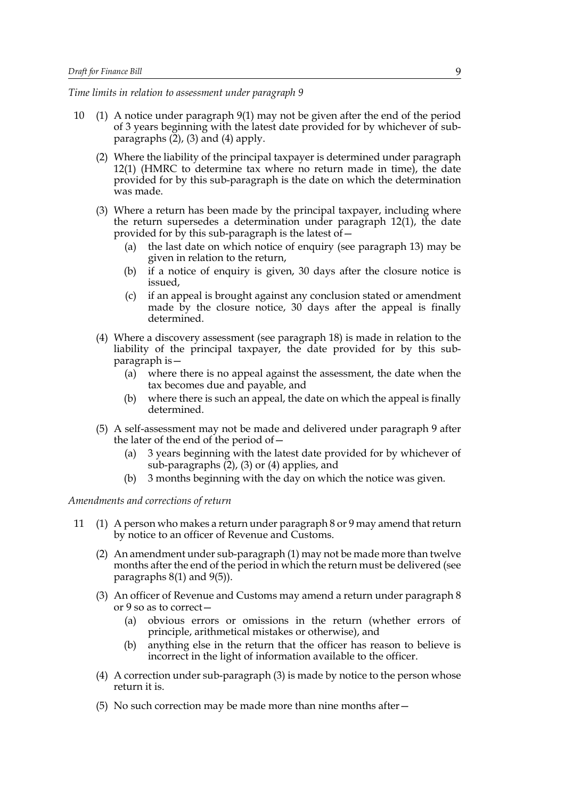*Time limits in relation to assessment under paragraph [9](#page-8-1)*

- <span id="page-9-7"></span><span id="page-9-1"></span><span id="page-9-0"></span>10 (1) A notice under paragraph [9\(1\)](#page-8-1) may not be given after the end of the period of 3 years beginning with the latest date provided for by whichever of subparagraphs  $(2)$ ,  $(3)$  and  $(4)$  apply.
	- (2) Where the liability of the principal taxpayer is determined under paragraph [12\(1\)](#page-10-0) (HMRC to determine tax where no return made in time), the date provided for by this sub-paragraph is the date on which the determination was made.
	- (3) Where a return has been made by the principal taxpayer, including where the return supersedes a determination under paragraph [12\(1\)](#page-10-0), the date provided for by this sub-paragraph is the latest of—
		- (a) the last date on which notice of enquiry (see paragraph [13\)](#page-11-0) may be given in relation to the return,
		- (b) if a notice of enquiry is given, 30 days after the closure notice is issued,
		- (c) if an appeal is brought against any conclusion stated or amendment made by the closure notice, 30 days after the appeal is finally determined.
	- (4) Where a discovery assessment (see paragraph [18\)](#page-13-0) is made in relation to the liability of the principal taxpayer, the date provided for by this subparagraph is—
		- (a) where there is no appeal against the assessment, the date when the tax becomes due and payable, and
		- (b) where there is such an appeal, the date on which the appeal is finally determined.
	- (5) A self-assessment may not be made and delivered under paragraph [9](#page-8-1) after the later of the end of the period of—
		- (a) 3 years beginning with the latest date provided for by whichever of sub-paragraphs [\(2\)](#page-9-0), [\(3\)](#page-9-1) or [\(4\)](#page-9-2) applies, and
		- (b) 3 months beginning with the day on which the notice was given.

# <span id="page-9-6"></span><span id="page-9-2"></span>*Amendments and corrections of return*

- <span id="page-9-5"></span><span id="page-9-4"></span><span id="page-9-3"></span>11 (1) A person who makes a return under paragraph [8](#page-7-0) or [9](#page-8-1) may amend that return by notice to an officer of Revenue and Customs.
	- (2) An amendment under sub-paragraph [\(1\)](#page-9-3) may not be made more than twelve months after the end of the period in which the return must be delivered (see paragraphs [8\(1\)](#page-7-0) and [9\(5\)\)](#page-8-2).
	- (3) An officer of Revenue and Customs may amend a return under paragraph [8](#page-7-0) or [9](#page-8-1) so as to correct—
		- (a) obvious errors or omissions in the return (whether errors of principle, arithmetical mistakes or otherwise), and
		- (b) anything else in the return that the officer has reason to believe is incorrect in the light of information available to the officer.
	- (4) A correction under sub-paragraph [\(3\)](#page-9-4) is made by notice to the person whose return it is.
	- (5) No such correction may be made more than nine months after—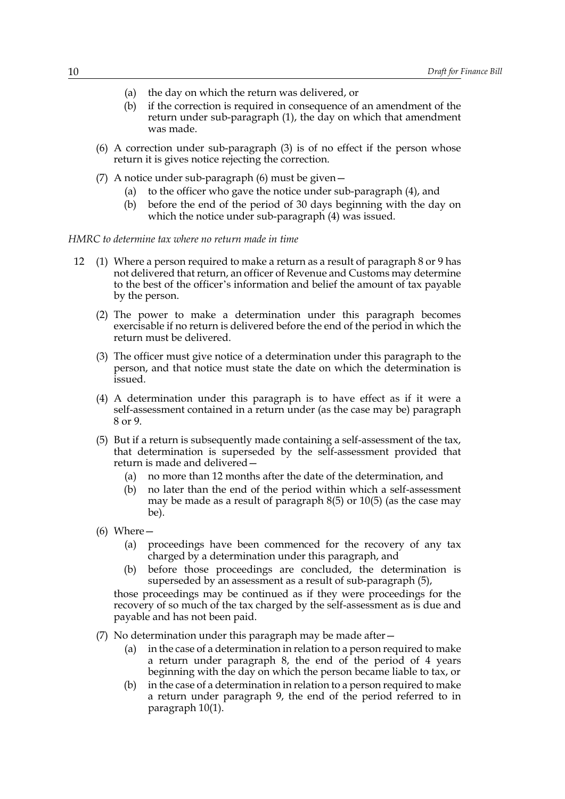- (a) the day on which the return was delivered, or
- (b) if the correction is required in consequence of an amendment of the return under sub-paragraph [\(1\)](#page-9-3), the day on which that amendment was made.
- <span id="page-10-1"></span>(6) A correction under sub-paragraph [\(3\)](#page-9-4) is of no effect if the person whose return it is gives notice rejecting the correction.
- (7) A notice under sub-paragraph [\(6\)](#page-10-1) must be given—
	- (a) to the officer who gave the notice under sub-paragraph [\(4\),](#page-9-5) and
	- (b) before the end of the period of 30 days beginning with the day on which the notice under sub-paragraph [\(4\)](#page-9-5) was issued.
- <span id="page-10-0"></span>*HMRC to determine tax where no return made in time*
	- 12 (1) Where a person required to make a return as a result of paragraph [8](#page-7-0) or [9](#page-8-1) has not delivered that return, an officer of Revenue and Customs may determine to the best of the officer's information and belief the amount of tax payable by the person.
		- (2) The power to make a determination under this paragraph becomes exercisable if no return is delivered before the end of the period in which the return must be delivered.
		- (3) The officer must give notice of a determination under this paragraph to the person, and that notice must state the date on which the determination is issued.
		- (4) A determination under this paragraph is to have effect as if it were a self-assessment contained in a return under (as the case may be) paragraph [8](#page-7-0) or [9.](#page-8-1)
		- (5) But if a return is subsequently made containing a self-assessment of the tax, that determination is superseded by the self-assessment provided that return is made and delivered—
			- (a) no more than 12 months after the date of the determination, and
			- (b) no later than the end of the period within which a self-assessment may be made as a result of paragraph [8\(5\)](#page-8-3) or [10\(5\)](#page-9-6) (as the case may be).
		- (6) Where—
			- (a) proceedings have been commenced for the recovery of any tax charged by a determination under this paragraph, and
			- (b) before those proceedings are concluded, the determination is superseded by an assessment as a result of sub-paragraph [\(5\),](#page-10-2)

<span id="page-10-2"></span>those proceedings may be continued as if they were proceedings for the recovery of so much of the tax charged by the self-assessment as is due and payable and has not been paid.

- (7) No determination under this paragraph may be made after—
	- (a) in the case of a determination in relation to a person required to make a return under paragraph [8](#page-7-0), the end of the period of 4 years beginning with the day on which the person became liable to tax, or
	- (b) in the case of a determination in relation to a person required to make a return under paragraph [9,](#page-8-1) the end of the period referred to in paragraph [10\(1\)](#page-9-7).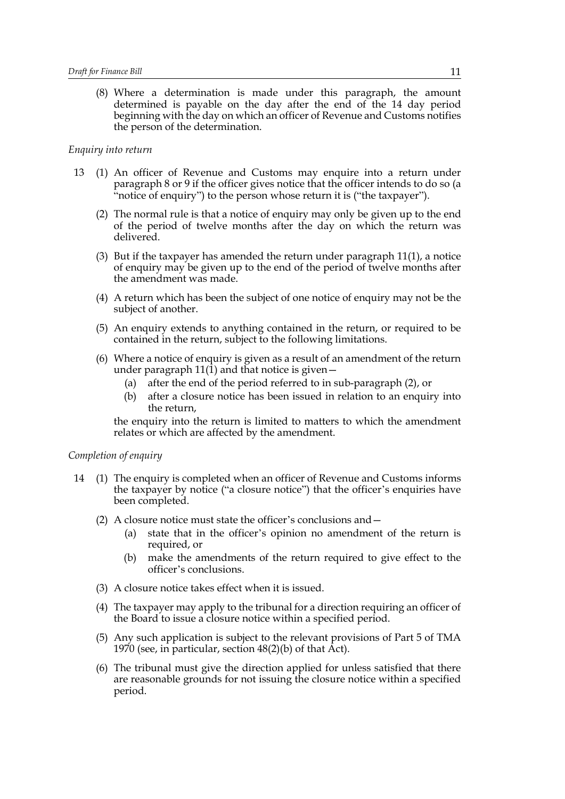<span id="page-11-4"></span>(8) Where a determination is made under this paragraph, the amount determined is payable on the day after the end of the 14 day period beginning with the day on which an officer of Revenue and Customs notifies the person of the determination.

### *Enquiry into return*

- <span id="page-11-1"></span><span id="page-11-0"></span>13 (1) An officer of Revenue and Customs may enquire into a return under paragraph [8](#page-7-0) or [9](#page-8-1) if the officer gives notice that the officer intends to do so (a "notice of enquiry") to the person whose return it is ("the taxpayer").
	- (2) The normal rule is that a notice of enquiry may only be given up to the end of the period of twelve months after the day on which the return was delivered.
	- (3) But if the taxpayer has amended the return under paragraph [11\(1\),](#page-9-3) a notice of enquiry may be given up to the end of the period of twelve months after the amendment was made.
	- (4) A return which has been the subject of one notice of enquiry may not be the subject of another.
	- (5) An enquiry extends to anything contained in the return, or required to be contained in the return, subject to the following limitations.
	- (6) Where a notice of enquiry is given as a result of an amendment of the return under paragraph  $11(1)$  and that notice is given –
		- (a) after the end of the period referred to in sub-paragraph [\(2\)](#page-11-1), or
		- (b) after a closure notice has been issued in relation to an enquiry into the return,

<span id="page-11-2"></span>the enquiry into the return is limited to matters to which the amendment relates or which are affected by the amendment.

#### *Completion of enquiry*

- <span id="page-11-3"></span>14 (1) The enquiry is completed when an officer of Revenue and Customs informs the taxpayer by notice ("a closure notice") that the officer's enquiries have been completed.
	- (2) A closure notice must state the officer's conclusions and—
		- (a) state that in the officer's opinion no amendment of the return is required, or
		- (b) make the amendments of the return required to give effect to the officer's conclusions.
	- (3) A closure notice takes effect when it is issued.
	- (4) The taxpayer may apply to the tribunal for a direction requiring an officer of the Board to issue a closure notice within a specified period.
	- (5) Any such application is subject to the relevant provisions of Part 5 of TMA 1970 (see, in particular, section 48(2)(b) of that Act).
	- (6) The tribunal must give the direction applied for unless satisfied that there are reasonable grounds for not issuing the closure notice within a specified period.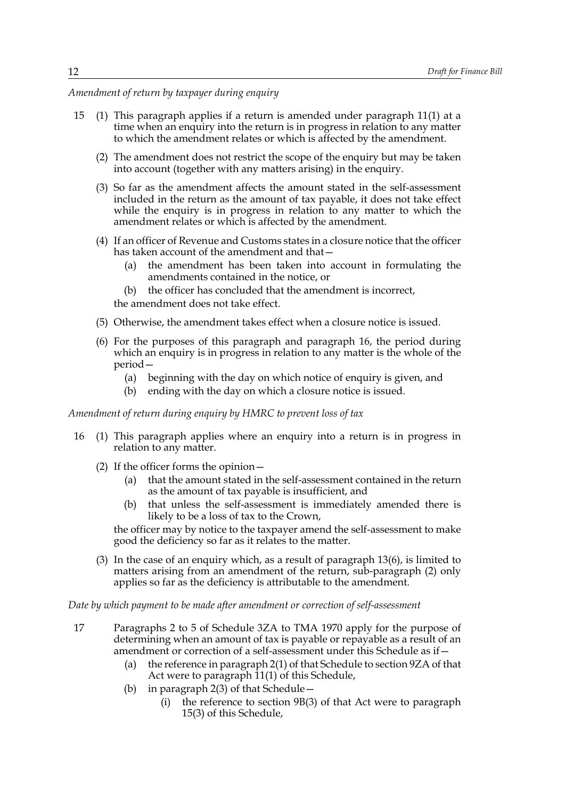*Amendment of return by taxpayer during enquiry*

- <span id="page-12-2"></span>15 (1) This paragraph applies if a return is amended under paragraph [11\(1\)](#page-9-3) at a time when an enquiry into the return is in progress in relation to any matter to which the amendment relates or which is affected by the amendment.
	- (2) The amendment does not restrict the scope of the enquiry but may be taken into account (together with any matters arising) in the enquiry.
	- (3) So far as the amendment affects the amount stated in the self-assessment included in the return as the amount of tax payable, it does not take effect while the enquiry is in progress in relation to any matter to which the amendment relates or which is affected by the amendment.
	- (4) If an officer of Revenue and Customs states in a closure notice that the officer has taken account of the amendment and that—
		- (a) the amendment has been taken into account in formulating the amendments contained in the notice, or
		- (b) the officer has concluded that the amendment is incorrect,

<span id="page-12-3"></span>the amendment does not take effect.

- <span id="page-12-4"></span>(5) Otherwise, the amendment takes effect when a closure notice is issued.
- (6) For the purposes of this paragraph and paragraph [16,](#page-12-0) the period during which an enquiry is in progress in relation to any matter is the whole of the period—
	- (a) beginning with the day on which notice of enquiry is given, and
	- (b) ending with the day on which a closure notice is issued.

### *Amendment of return during enquiry by HMRC to prevent loss of tax*

- <span id="page-12-1"></span><span id="page-12-0"></span>16 (1) This paragraph applies where an enquiry into a return is in progress in relation to any matter.
	- (2) If the officer forms the opinion—
		- (a) that the amount stated in the self-assessment contained in the return as the amount of tax payable is insufficient, and
		- (b) that unless the self-assessment is immediately amended there is likely to be a loss of tax to the Crown,

the officer may by notice to the taxpayer amend the self-assessment to make good the deficiency so far as it relates to the matter.

(3) In the case of an enquiry which, as a result of paragraph [13\(6\),](#page-11-2) is limited to matters arising from an amendment of the return, sub-paragraph [\(2\)](#page-12-1) only applies so far as the deficiency is attributable to the amendment.

*Date by which payment to be made after amendment or correction of self-assessment*

- 17 Paragraphs 2 to 5 of Schedule 3ZA to TMA 1970 apply for the purpose of determining when an amount of tax is payable or repayable as a result of an amendment or correction of a self-assessment under this Schedule as if—
	- (a) the reference in paragraph 2(1) of that Schedule to section 9ZA of that Act were to paragraph [11\(1\)](#page-9-3) of this Schedule,
	- (b) in paragraph 2(3) of that Schedule—
		- (i) the reference to section 9B(3) of that Act were to paragraph [15\(3\)](#page-12-2) of this Schedule,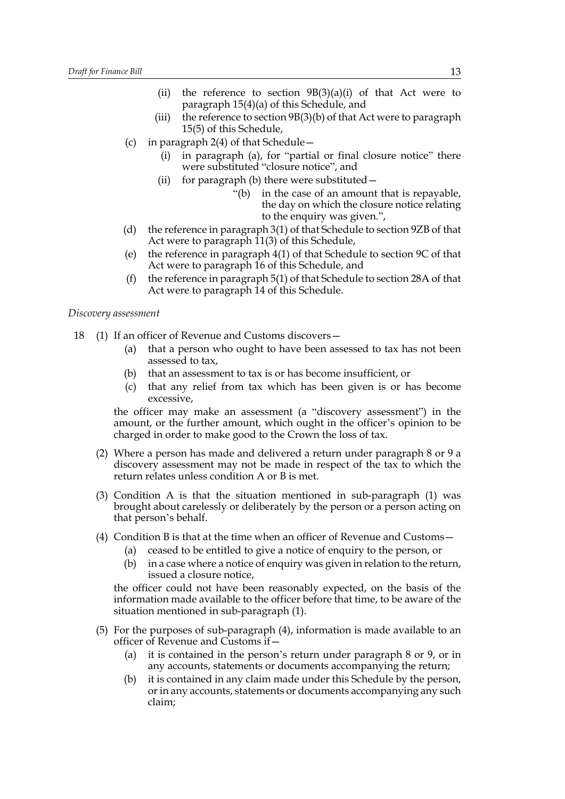- (ii) the reference to section  $9B(3)(a)(i)$  of that Act were to paragraph [15\(4\)\(a\)](#page-12-3) of this Schedule, and
- (iii) the reference to section  $9B(3)(b)$  of that Act were to paragraph [15\(5\)](#page-12-4) of this Schedule,
- (c) in paragraph 2(4) of that Schedule—
	- (i) in paragraph (a), for "partial or final closure notice" there were substituted "closure notice", and
	- (ii) for paragraph (b) there were substituted—
		- "(b) in the case of an amount that is repayable, the day on which the closure notice relating to the enquiry was given.",
- (d) the reference in paragraph 3(1) of that Schedule to section 9ZB of that Act were to paragraph [11\(3\)](#page-9-4) of this Schedule,
- (e) the reference in paragraph 4(1) of that Schedule to section 9C of that Act were to paragraph [16](#page-12-0) of this Schedule, and
- (f) the reference in paragraph 5(1) of that Schedule to section 28A of that Act were to paragraph [14](#page-11-3) of this Schedule.

#### *Discovery assessment*

- <span id="page-13-0"></span>18 (1) If an officer of Revenue and Customs discovers—
	- (a) that a person who ought to have been assessed to tax has not been assessed to tax,
	- (b) that an assessment to tax is or has become insufficient, or
	- (c) that any relief from tax which has been given is or has become excessive,

the officer may make an assessment (a "discovery assessment") in the amount, or the further amount, which ought in the officer's opinion to be charged in order to make good to the Crown the loss of tax.

- <span id="page-13-3"></span>(2) Where a person has made and delivered a return under paragraph [8](#page-7-0) or [9](#page-8-1) a discovery assessment may not be made in respect of the tax to which the return relates unless condition A or B is met.
- (3) Condition A is that the situation mentioned in sub-paragraph [\(1\)](#page-13-0) was brought about carelessly or deliberately by the person or a person acting on that person's behalf.
- <span id="page-13-1"></span>(4) Condition B is that at the time when an officer of Revenue and Customs—
	- (a) ceased to be entitled to give a notice of enquiry to the person, or
	- (b) in a case where a notice of enquiry was given in relation to the return, issued a closure notice,

the officer could not have been reasonably expected, on the basis of the information made available to the officer before that time, to be aware of the situation mentioned in sub-paragraph [\(1\)](#page-13-0).

- <span id="page-13-2"></span>(5) For the purposes of sub-paragraph [\(4\)](#page-13-1), information is made available to an officer of Revenue and Customs if—
	- (a) it is contained in the person's return under paragraph [8](#page-7-0) or [9](#page-8-1), or in any accounts, statements or documents accompanying the return;
	- (b) it is contained in any claim made under this Schedule by the person, or in any accounts, statements or documents accompanying any such claim;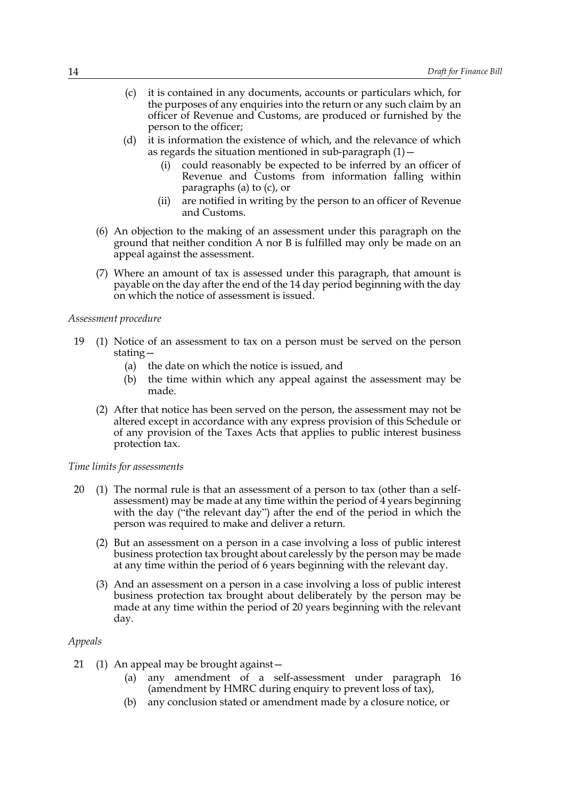- <span id="page-14-0"></span>(c) it is contained in any documents, accounts or particulars which, for the purposes of any enquiries into the return or any such claim by an officer of Revenue and Customs, are produced or furnished by the person to the officer;
- (d) it is information the existence of which, and the relevance of which as regards the situation mentioned in sub-paragraph  $(1)$  -
	- (i) could reasonably be expected to be inferred by an officer of Revenue and Customs from information falling within paragraphs [\(a\)](#page-13-2) to [\(c\)](#page-14-0), or
	- (ii) are notified in writing by the person to an officer of Revenue and Customs.
- (6) An objection to the making of an assessment under this paragraph on the ground that neither condition A nor B is fulfilled may only be made on an appeal against the assessment.
- (7) Where an amount of tax is assessed under this paragraph, that amount is payable on the day after the end of the 14 day period beginning with the day on which the notice of assessment is issued.

### *Assessment procedure*

- 19 (1) Notice of an assessment to tax on a person must be served on the person stating—
	- (a) the date on which the notice is issued, and
	- (b) the time within which any appeal against the assessment may be made.
	- (2) After that notice has been served on the person, the assessment may not be altered except in accordance with any express provision of this Schedule or of any provision of the Taxes Acts that applies to public interest business protection tax.

### *Time limits for assessments*

- 20 (1) The normal rule is that an assessment of a person to tax (other than a selfassessment) may be made at any time within the period of 4 years beginning with the day ("the relevant day") after the end of the period in which the person was required to make and deliver a return.
	- (2) But an assessment on a person in a case involving a loss of public interest business protection tax brought about carelessly by the person may be made at any time within the period of 6 years beginning with the relevant day.
	- (3) And an assessment on a person in a case involving a loss of public interest business protection tax brought about deliberately by the person may be made at any time within the period of 20 years beginning with the relevant day.

#### *Appeals*

- <span id="page-14-2"></span><span id="page-14-1"></span>21 (1) An appeal may be brought against—
	- (a) any amendment of a self-assessment under paragraph [16](#page-12-0) (amendment by HMRC during enquiry to prevent loss of tax),
	- (b) any conclusion stated or amendment made by a closure notice, or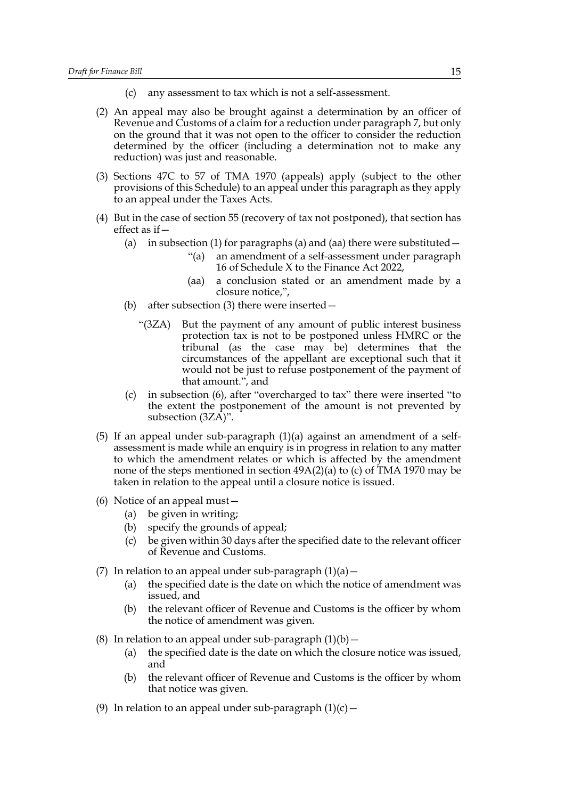- (c) any assessment to tax which is not a self-assessment.
- <span id="page-15-2"></span><span id="page-15-1"></span>(2) An appeal may also be brought against a determination by an officer of Revenue and Customs of a claim for a reduction under paragraph [7](#page-6-2), but only on the ground that it was not open to the officer to consider the reduction determined by the officer (including a determination not to make any reduction) was just and reasonable.
- (3) Sections 47C to 57 of TMA 1970 (appeals) apply (subject to the other provisions of this Schedule) to an appeal under this paragraph as they apply to an appeal under the Taxes Acts.
- <span id="page-15-0"></span>(4) But in the case of section 55 (recovery of tax not postponed), that section has effect as if—
	- (a) in subsection (1) for paragraphs (a) and (aa) there were substituted  $-$ 
		- "(a) an amendment of a self-assessment under paragraph [16](#page-12-0) of Schedule X to the Finance Act 2022,
		- (aa) a conclusion stated or an amendment made by a closure notice,",
	- (b) after subsection (3) there were inserted—
		- "(3ZA) But the payment of any amount of public interest business protection tax is not to be postponed unless HMRC or the tribunal (as the case may be) determines that the circumstances of the appellant are exceptional such that it would not be just to refuse postponement of the payment of that amount.", and
	- (c) in subsection (6), after "overcharged to tax" there were inserted "to the extent the postponement of the amount is not prevented by subsection [\(3ZA\)"](#page-15-0).
- (5) If an appeal under sub-paragraph [\(1\)\(a\)](#page-14-1) against an amendment of a selfassessment is made while an enquiry is in progress in relation to any matter to which the amendment relates or which is affected by the amendment none of the steps mentioned in section  $49A(2)(a)$  to (c) of TMA 1970 may be taken in relation to the appeal until a closure notice is issued.
- (6) Notice of an appeal must—
	- (a) be given in writing;
	- (b) specify the grounds of appeal;
	- (c) be given within 30 days after the specified date to the relevant officer of Revenue and Customs.
- (7) In relation to an appeal under sub-paragraph  $(1)(a)$  -
	- (a) the specified date is the date on which the notice of amendment was issued, and
	- (b) the relevant officer of Revenue and Customs is the officer by whom the notice of amendment was given.
- (8) In relation to an appeal under sub-paragraph  $(1)(b)$  -
	- (a) the specified date is the date on which the closure notice was issued, and
	- (b) the relevant officer of Revenue and Customs is the officer by whom that notice was given.
- (9) In relation to an appeal under sub-paragraph  $(1)(c)$  -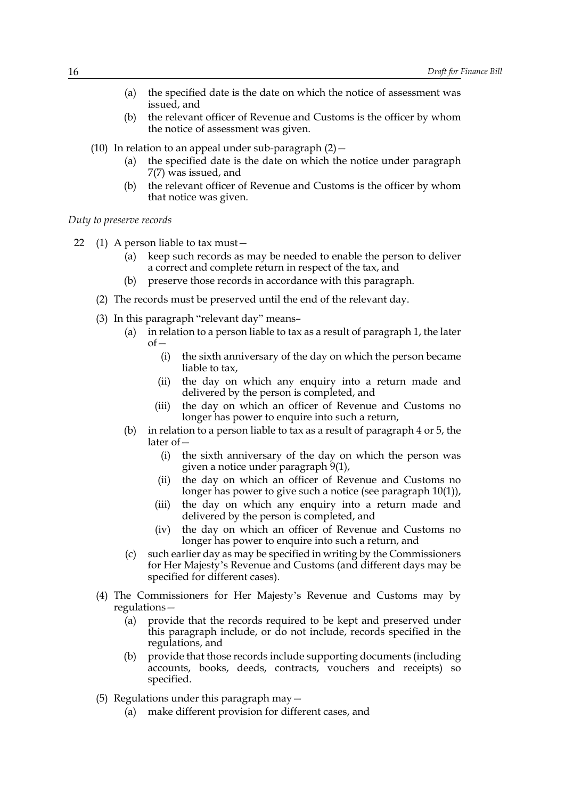- (a) the specified date is the date on which the notice of assessment was issued, and
- (b) the relevant officer of Revenue and Customs is the officer by whom the notice of assessment was given.
- (10) In relation to an appeal under sub-paragraph  $(2)$  -
	- (a) the specified date is the date on which the notice under paragraph [7\(7\)](#page-7-1) was issued, and
	- (b) the relevant officer of Revenue and Customs is the officer by whom that notice was given.

*Duty to preserve records*

- 22 (1) A person liable to tax must—
	- (a) keep such records as may be needed to enable the person to deliver a correct and complete return in respect of the tax, and
	- (b) preserve those records in accordance with this paragraph.
	- (2) The records must be preserved until the end of the relevant day.
	- (3) In this paragraph "relevant day" means–
		- (a) in relation to a person liable to tax as a result of paragraph [1](#page-1-4), the later  $of$ 
			- (i) the sixth anniversary of the day on which the person became liable to tax,
			- (ii) the day on which any enquiry into a return made and delivered by the person is completed, and
			- (iii) the day on which an officer of Revenue and Customs no longer has power to enquire into such a return,
		- (b) in relation to a person liable to tax as a result of paragraph [4](#page-4-2) or [5](#page-4-3), the later of—
			- (i) the sixth anniversary of the day on which the person was given a notice under paragraph [9\(1\)](#page-8-1),
			- (ii) the day on which an officer of Revenue and Customs no longer has power to give such a notice (see paragraph [10\(1\)\)](#page-9-7),
			- (iii) the day on which any enquiry into a return made and delivered by the person is completed, and
			- (iv) the day on which an officer of Revenue and Customs no longer has power to enquire into such a return, and
		- (c) such earlier day as may be specified in writing by the Commissioners for Her Majesty's Revenue and Customs (and different days may be specified for different cases).
	- (4) The Commissioners for Her Majesty's Revenue and Customs may by regulations—
		- (a) provide that the records required to be kept and preserved under this paragraph include, or do not include, records specified in the regulations, and
		- (b) provide that those records include supporting documents (including accounts, books, deeds, contracts, vouchers and receipts) so specified.
	- (5) Regulations under this paragraph may—
		- (a) make different provision for different cases, and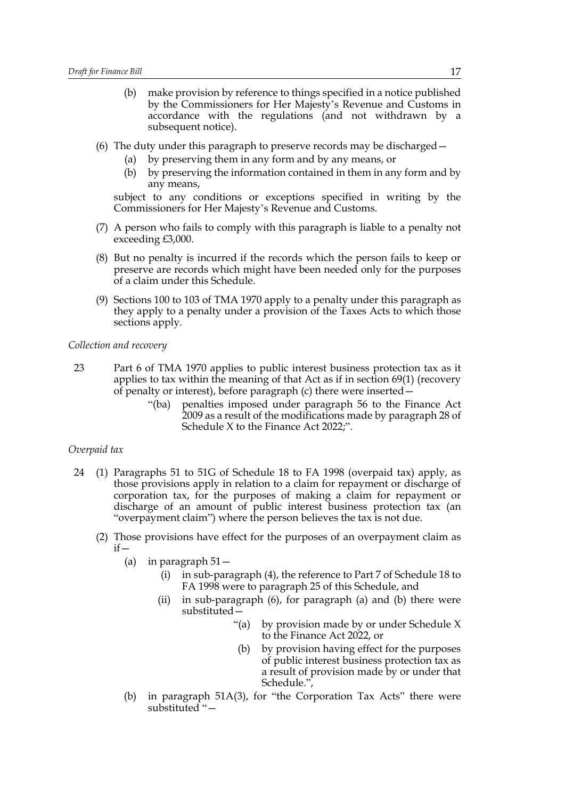- (b) make provision by reference to things specified in a notice published by the Commissioners for Her Majesty's Revenue and Customs in accordance with the regulations (and not withdrawn by a subsequent notice).
- (6) The duty under this paragraph to preserve records may be discharged—
	- (a) by preserving them in any form and by any means, or
	- (b) by preserving the information contained in them in any form and by any means,

subject to any conditions or exceptions specified in writing by the Commissioners for Her Majesty's Revenue and Customs.

- (7) A person who fails to comply with this paragraph is liable to a penalty not exceeding £3,000.
- (8) But no penalty is incurred if the records which the person fails to keep or preserve are records which might have been needed only for the purposes of a claim under this Schedule.
- (9) Sections 100 to 103 of TMA 1970 apply to a penalty under this paragraph as they apply to a penalty under a provision of the Taxes Acts to which those sections apply.

#### *Collection and recovery*

- 23 Part 6 of TMA 1970 applies to public interest business protection tax as it applies to tax within the meaning of that Act as if in section 69(1) (recovery of penalty or interest), before paragraph (c) there were inserted—
	- "(ba) penalties imposed under paragraph 56 to the Finance Act 2009 as a result of the modifications made by paragraph [28](#page-20-0) of Schedule X to the Finance Act 2022;".

### *Overpaid tax*

- <span id="page-17-0"></span>24 (1) Paragraphs 51 to 51G of Schedule 18 to FA 1998 (overpaid tax) apply, as those provisions apply in relation to a claim for repayment or discharge of corporation tax, for the purposes of making a claim for repayment or discharge of an amount of public interest business protection tax (an "overpayment claim") where the person believes the tax is not due.
	- (2) Those provisions have effect for the purposes of an overpayment claim as  $if -$ 
		- (a) in paragraph 51—
			- (i) in sub-paragraph (4), the reference to Part 7 of Schedule 18 to FA 1998 were to paragraph [25](#page-18-0) of this Schedule, and
			- (ii) in sub-paragraph (6), for paragraph (a) and (b) there were substituted—
				- "(a) by provision made by or under Schedule X to the Finance Act 2022, or
				- (b) by provision having effect for the purposes of public interest business protection tax as a result of provision made by or under that Schedule.",
		- (b) in paragraph 51A(3), for "the Corporation Tax Acts" there were substituted "—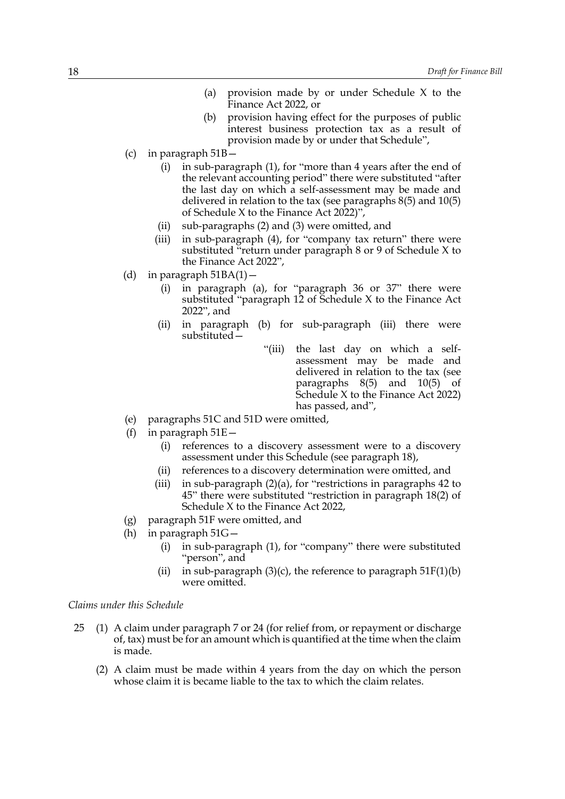- (a) provision made by or under Schedule X to the Finance Act 2022, or
- (b) provision having effect for the purposes of public interest business protection tax as a result of provision made by or under that Schedule",
- (c) in paragraph 51B—
	- (i) in sub-paragraph (1), for "more than 4 years after the end of the relevant accounting period" there were substituted "after the last day on which a self-assessment may be made and delivered in relation to the tax (see paragraphs [8\(5\)](#page-8-3) and [10\(5\)](#page-9-6) of Schedule X to the Finance Act  $2022$ ",
	- (ii) sub-paragraphs (2) and (3) were omitted, and
	- (iii) in sub-paragraph (4), for "company tax return" there were substituted "return under paragraph [8](#page-7-0) or [9](#page-8-1) of Schedule X to the Finance Act 2022",
- (d) in paragraph  $51BA(1)$  -
	- (i) in paragraph (a), for "paragraph 36 or 37" there were substituted "paragraph [12](#page-10-0) of Schedule X to the Finance Act 2022", and
	- (ii) in paragraph (b) for sub-paragraph (iii) there were substituted—
		- "(iii) the last day on which a selfassessment may be made and delivered in relation to the tax (see paragraphs [8\(5\)](#page-8-3) and [10\(5\)](#page-9-6) of Schedule X to the Finance Act 2022) has passed, and",
- (e) paragraphs 51C and 51D were omitted,
- (f) in paragraph  $51E -$ 
	- (i) references to a discovery assessment were to a discovery assessment under this Schedule (see paragraph [18\)](#page-13-0),
	- (ii) references to a discovery determination were omitted, and
	- (iii) in sub-paragraph (2)(a), for "restrictions in paragraphs 42 to 45" there were substituted "restriction in paragraph [18\(2\)](#page-13-3) of Schedule X to the Finance Act 2022,
- (g) paragraph 51F were omitted, and
- (h) in paragraph 51G—
	- (i) in sub-paragraph (1), for "company" there were substituted "person", and
	- (ii) in sub-paragraph  $(3)(c)$ , the reference to paragraph  $51F(1)(b)$ were omitted.

#### *Claims under this Schedule*

- <span id="page-18-0"></span>25 (1) A claim under paragraph [7](#page-6-2) or [24](#page-17-0) (for relief from, or repayment or discharge of, tax) must be for an amount which is quantified at the time when the claim is made.
	- (2) A claim must be made within 4 years from the day on which the person whose claim it is became liable to the tax to which the claim relates.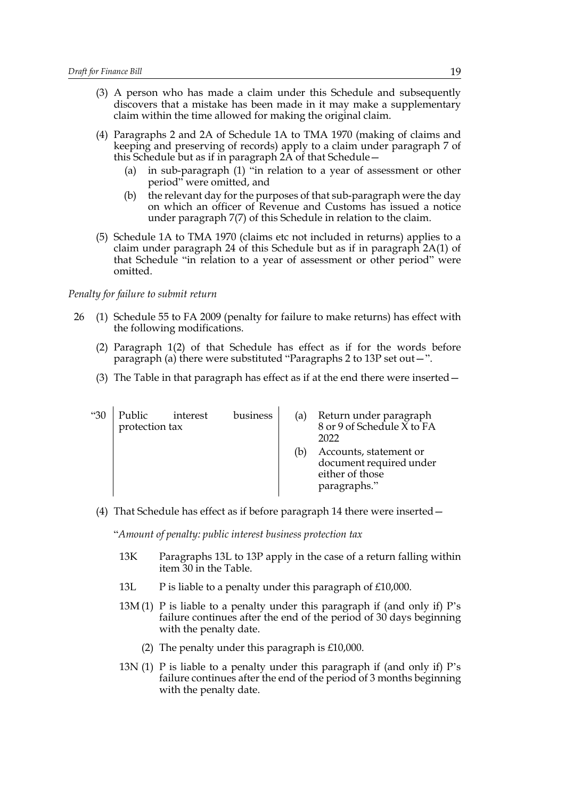- (3) A person who has made a claim under this Schedule and subsequently discovers that a mistake has been made in it may make a supplementary claim within the time allowed for making the original claim.
- (4) Paragraphs 2 and 2A of Schedule 1A to TMA 1970 (making of claims and keeping and preserving of records) apply to a claim under paragraph [7](#page-6-2) of this Schedule but as if in paragraph 2A of that Schedule—
	- (a) in sub-paragraph (1) "in relation to a year of assessment or other period" were omitted, and
	- (b) the relevant day for the purposes of that sub-paragraph were the day on which an officer of Revenue and Customs has issued a notice under paragraph [7\(7\)](#page-7-1) of this Schedule in relation to the claim.
- (5) Schedule 1A to TMA 1970 (claims etc not included in returns) applies to a claim under paragraph [24](#page-17-0) of this Schedule but as if in paragraph 2A(1) of that Schedule "in relation to a year of assessment or other period" were omitted.

### *Penalty for failure to submit return*

- 26 (1) Schedule 55 to FA 2009 (penalty for failure to make returns) has effect with the following modifications.
	- (2) Paragraph 1(2) of that Schedule has effect as if for the words before paragraph (a) there were substituted "Paragraphs 2 to [13P](#page-20-1) set out—".
	- (3) The Table in that paragraph has effect as if at the end there were inserted—

| "30 | Public<br>protection tax | interest | business | (a) | Return under paragraph<br>8 or 9 of Schedule X to FA<br>2022                         |
|-----|--------------------------|----------|----------|-----|--------------------------------------------------------------------------------------|
|     |                          |          |          | (b  | Accounts, statement or<br>document required under<br>either of those<br>paragraphs." |

(4) That Schedule has effect as if before paragraph 14 there were inserted—

"*Amount of penalty: public interest business protection tax*

- 13K Paragraphs [13L](#page-19-0) to [13P](#page-20-1) apply in the case of a return falling within item 30 in the Table.
- <span id="page-19-0"></span>13L P is liable to a penalty under this paragraph of £10,000.
- $13M(1)$  P is liable to a penalty under this paragraph if (and only if) P's failure continues after the end of the period of 30 days beginning with the penalty date.
	- (2) The penalty under this paragraph is £10,000.
- 13N (1) P is liable to a penalty under this paragraph if (and only if) P's failure continues after the end of the period of 3 months beginning with the penalty date.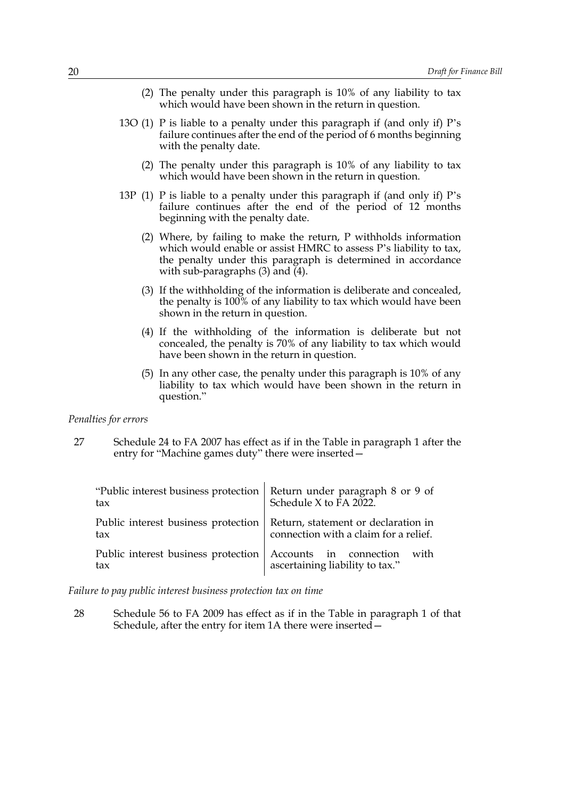- (2) The penalty under this paragraph is 10% of any liability to tax which would have been shown in the return in question.
- 13O (1) P is liable to a penalty under this paragraph if (and only if) P's failure continues after the end of the period of 6 months beginning with the penalty date.
	- (2) The penalty under this paragraph is 10% of any liability to tax which would have been shown in the return in question.
- <span id="page-20-2"></span><span id="page-20-1"></span>13P (1) P is liable to a penalty under this paragraph if (and only if) P's failure continues after the end of the period of 12 months beginning with the penalty date.
	- (2) Where, by failing to make the return, P withholds information which would enable or assist HMRC to assess P's liability to tax, the penalty under this paragraph is determined in accordance with sub-paragraphs [\(3\)](#page-20-2) and [\(4\)](#page-20-3).
	- (3) If the withholding of the information is deliberate and concealed, the penalty is 100% of any liability to tax which would have been shown in the return in question.
	- (4) If the withholding of the information is deliberate but not concealed, the penalty is 70% of any liability to tax which would have been shown in the return in question.
	- (5) In any other case, the penalty under this paragraph is 10% of any liability to tax which would have been shown in the return in question."

#### <span id="page-20-3"></span>*Penalties for errors*

27 Schedule 24 to FA 2007 has effect as if in the Table in paragraph 1 after the entry for "Machine games duty" there were inserted—

| "Public interest business protection   Return under paragraph 8 or 9 of<br>tax   | Schedule X to FA 2022.                |
|----------------------------------------------------------------------------------|---------------------------------------|
| Public interest business protection   Return, statement or declaration in<br>tax | connection with a claim for a relief. |
| Public interest business protection   Accounts in connection with<br>tax         | ascertaining liability to tax."       |

*Failure to pay public interest business protection tax on time*

<span id="page-20-0"></span>28 Schedule 56 to FA 2009 has effect as if in the Table in paragraph 1 of that Schedule, after the entry for item 1A there were inserted—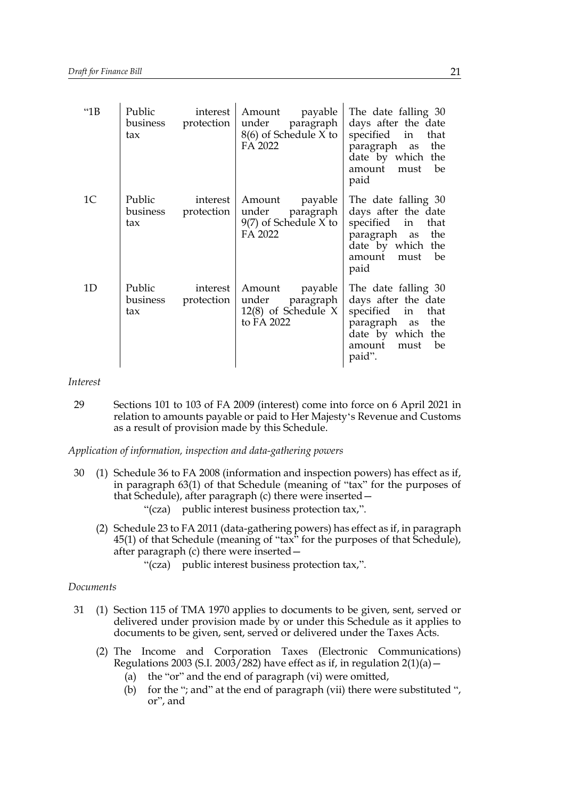| "1B            | Public<br>business<br>tax | interest<br>protection | payable<br>Amount<br>under<br>paragraph<br>8(6) of Schedule X to<br>FA 2022    | The date falling 30<br>days after the date<br>specified<br>in<br>that<br>paragraph as<br>the<br>date by which the<br>amount<br>must<br>be<br>paid |
|----------------|---------------------------|------------------------|--------------------------------------------------------------------------------|---------------------------------------------------------------------------------------------------------------------------------------------------|
| 1 <sup>C</sup> | Public<br>business<br>tax | interest<br>protection | Amount<br>payable<br>under<br>paragraph<br>$9(7)$ of Schedule X to<br>FA 2022  | The date falling 30<br>days after the date<br>specified in that<br>paragraph as<br>the<br>date by which the<br>amount<br>must<br>be<br>paid       |
| 1D             | Public<br>business<br>tax | interest<br>protection | Amount<br>payable<br>paragraph<br>under<br>$12(8)$ of Schedule X<br>to FA 2022 | The date falling 30<br>days after the date<br>specified in<br>that<br>paragraph as<br>the<br>date by which the<br>amount must<br>be<br>paid".     |

*Interest*

29 Sections 101 to 103 of FA 2009 (interest) come into force on 6 April 2021 in relation to amounts payable or paid to Her Majesty's Revenue and Customs as a result of provision made by this Schedule.

*Application of information, inspection and data-gathering powers*

- 30 (1) Schedule 36 to FA 2008 (information and inspection powers) has effect as if, in paragraph 63(1) of that Schedule (meaning of "tax" for the purposes of that Schedule), after paragraph (c) there were inserted— "(cza) public interest business protection tax,".
	- (2) Schedule 23 to FA 2011 (data-gathering powers) has effect as if, in paragraph 45(1) of that Schedule (meaning of "tax" for the purposes of that Schedule), after paragraph (c) there were inserted—
		- "(cza) public interest business protection tax,".

### *Documents*

- 31 (1) Section 115 of TMA 1970 applies to documents to be given, sent, served or delivered under provision made by or under this Schedule as it applies to documents to be given, sent, served or delivered under the Taxes Acts.
	- (2) The Income and Corporation Taxes (Electronic Communications) Regulations 2003 (S.I. 2003/282) have effect as if, in regulation  $2(1)(a)$  -
		- (a) the "or" and the end of paragraph (vi) were omitted,
		- (b) for the "; and" at the end of paragraph (vii) there were substituted ", or", and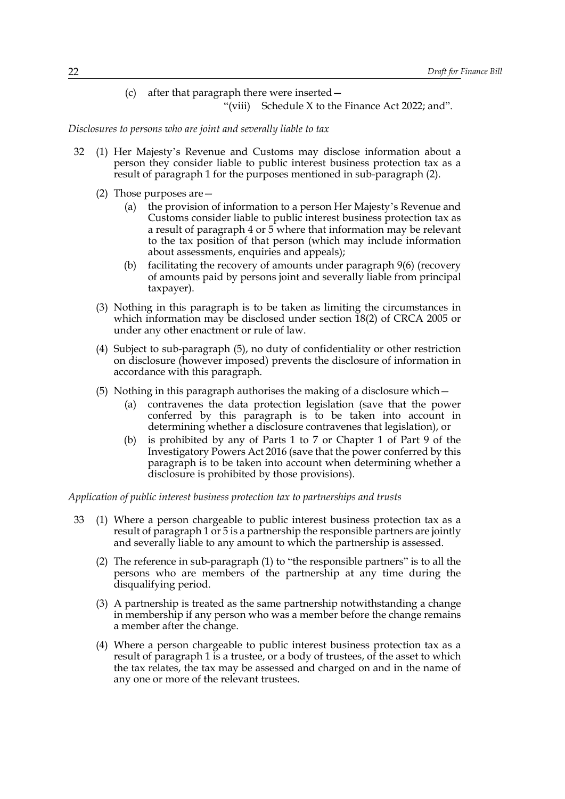(c) after that paragraph there were inserted— "(viii) Schedule X to the Finance Act 2022; and".

*Disclosures to persons who are joint and severally liable to tax*

- <span id="page-22-0"></span>32 (1) Her Majesty's Revenue and Customs may disclose information about a person they consider liable to public interest business protection tax as a result of paragraph [1](#page-1-4) for the purposes mentioned in sub-paragraph [\(2\).](#page-22-0)
	- (2) Those purposes are—
		- (a) the provision of information to a person Her Majesty's Revenue and Customs consider liable to public interest business protection tax as a result of paragraph [4](#page-4-2) or [5](#page-4-3) where that information may be relevant to the tax position of that person (which may include information about assessments, enquiries and appeals);
		- (b) facilitating the recovery of amounts under paragraph [9\(6\)](#page-8-6) (recovery of amounts paid by persons joint and severally liable from principal taxpayer).
	- (3) Nothing in this paragraph is to be taken as limiting the circumstances in which information may be disclosed under section 18(2) of CRCA 2005 or under any other enactment or rule of law.
	- (4) Subject to sub-paragraph [\(5\),](#page-22-1) no duty of confidentiality or other restriction on disclosure (however imposed) prevents the disclosure of information in accordance with this paragraph.
	- (5) Nothing in this paragraph authorises the making of a disclosure which—
		- (a) contravenes the data protection legislation (save that the power conferred by this paragraph is to be taken into account in determining whether a disclosure contravenes that legislation), or
		- (b) is prohibited by any of Parts 1 to 7 or Chapter 1 of Part 9 of the Investigatory Powers Act 2016 (save that the power conferred by this paragraph is to be taken into account when determining whether a disclosure is prohibited by those provisions).

<span id="page-22-1"></span>*Application of public interest business protection tax to partnerships and trusts*

- <span id="page-22-3"></span><span id="page-22-2"></span>33 (1) Where a person chargeable to public interest business protection tax as a result of paragraph [1](#page-1-4) or [5](#page-4-3) is a partnership the responsible partners are jointly and severally liable to any amount to which the partnership is assessed.
	- (2) The reference in sub-paragraph [\(1\)](#page-22-2) to "the responsible partners" is to all the persons who are members of the partnership at any time during the disqualifying period.
	- (3) A partnership is treated as the same partnership notwithstanding a change in membership if any person who was a member before the change remains a member after the change.
	- (4) Where a person chargeable to public interest business protection tax as a result of paragraph [1](#page-1-4) is a trustee, or a body of trustees, of the asset to which the tax relates, the tax may be assessed and charged on and in the name of any one or more of the relevant trustees.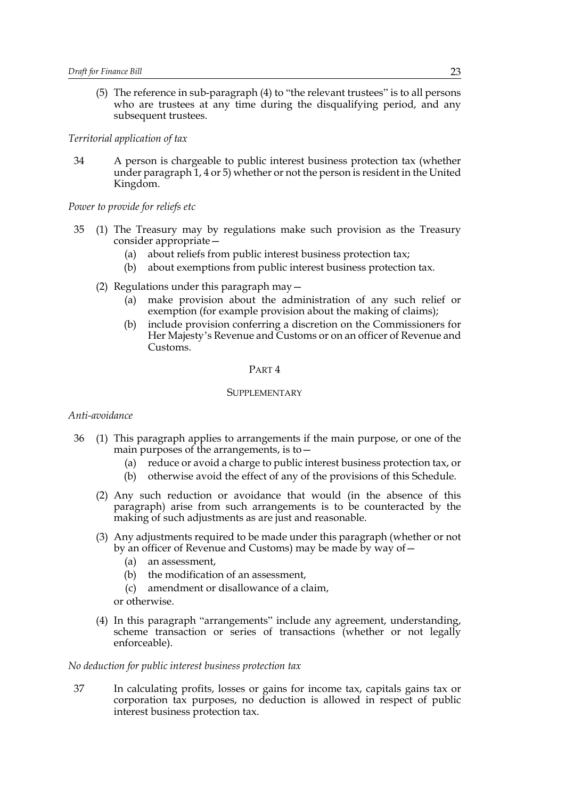(5) The reference in sub-paragraph [\(4\)](#page-22-3) to "the relevant trustees" is to all persons who are trustees at any time during the disqualifying period, and any subsequent trustees.

#### *Territorial application of tax*

34 A person is chargeable to public interest business protection tax (whether under paragraph [1,](#page-1-4) [4](#page-4-2) or [5](#page-4-3)) whether or not the person is resident in the United Kingdom.

*Power to provide for reliefs etc*

- 35 (1) The Treasury may by regulations make such provision as the Treasury consider appropriate—
	- (a) about reliefs from public interest business protection tax;
	- (b) about exemptions from public interest business protection tax.
	- (2) Regulations under this paragraph may—
		- (a) make provision about the administration of any such relief or exemption (for example provision about the making of claims);
		- (b) include provision conferring a discretion on the Commissioners for Her Majesty's Revenue and Customs or on an officer of Revenue and Customs.

### PART 4

# **SUPPLEMENTARY**

#### *Anti-avoidance*

- 36 (1) This paragraph applies to arrangements if the main purpose, or one of the main purposes of the arrangements, is to—
	- (a) reduce or avoid a charge to public interest business protection tax, or
	- (b) otherwise avoid the effect of any of the provisions of this Schedule.
	- (2) Any such reduction or avoidance that would (in the absence of this paragraph) arise from such arrangements is to be counteracted by the making of such adjustments as are just and reasonable.
	- (3) Any adjustments required to be made under this paragraph (whether or not by an officer of Revenue and Customs) may be made by way of—
		- (a) an assessment,
		- (b) the modification of an assessment,
		- (c) amendment or disallowance of a claim,
		- or otherwise.
	- (4) In this paragraph "arrangements" include any agreement, understanding, scheme transaction or series of transactions (whether or not legally enforceable).

### *No deduction for public interest business protection tax*

37 In calculating profits, losses or gains for income tax, capitals gains tax or corporation tax purposes, no deduction is allowed in respect of public interest business protection tax.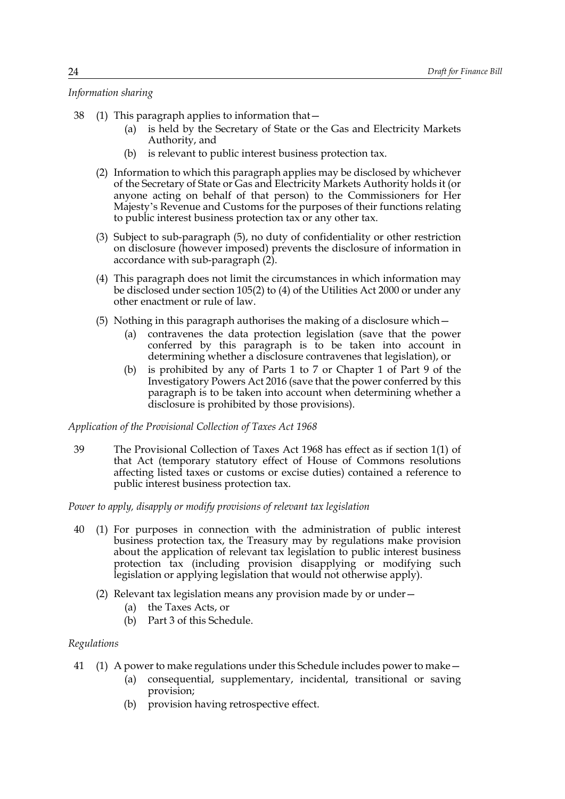# *Information sharing*

- <span id="page-24-1"></span>38 (1) This paragraph applies to information that—
	- (a) is held by the Secretary of State or the Gas and Electricity Markets Authority, and
	- (b) is relevant to public interest business protection tax.
	- (2) Information to which this paragraph applies may be disclosed by whichever of the Secretary of State or Gas and Electricity Markets Authority holds it (or anyone acting on behalf of that person) to the Commissioners for Her Majesty's Revenue and Customs for the purposes of their functions relating to public interest business protection tax or any other tax.
	- (3) Subject to sub-paragraph [\(5\),](#page-24-0) no duty of confidentiality or other restriction on disclosure (however imposed) prevents the disclosure of information in accordance with sub-paragraph  $(2)$ .
	- (4) This paragraph does not limit the circumstances in which information may be disclosed under section 105(2) to (4) of the Utilities Act 2000 or under any other enactment or rule of law.
	- (5) Nothing in this paragraph authorises the making of a disclosure which—
		- (a) contravenes the data protection legislation (save that the power conferred by this paragraph is to be taken into account in determining whether a disclosure contravenes that legislation), or
		- (b) is prohibited by any of Parts 1 to 7 or Chapter 1 of Part 9 of the Investigatory Powers Act 2016 (save that the power conferred by this paragraph is to be taken into account when determining whether a disclosure is prohibited by those provisions).

# <span id="page-24-0"></span>*Application of the Provisional Collection of Taxes Act 1968*

39 The Provisional Collection of Taxes Act 1968 has effect as if section 1(1) of that Act (temporary statutory effect of House of Commons resolutions affecting listed taxes or customs or excise duties) contained a reference to public interest business protection tax.

*Power to apply, disapply or modify provisions of relevant tax legislation*

- 40 (1) For purposes in connection with the administration of public interest business protection tax, the Treasury may by regulations make provision about the application of relevant tax legislation to public interest business protection tax (including provision disapplying or modifying such legislation or applying legislation that would not otherwise apply).
	- (2) Relevant tax legislation means any provision made by or under—
		- (a) the Taxes Acts, or
		- (b) Part [3](#page-7-2) of this Schedule.

# *Regulations*

- 41 (1) A power to make regulations under this Schedule includes power to make—
	- (a) consequential, supplementary, incidental, transitional or saving provision;
	- (b) provision having retrospective effect.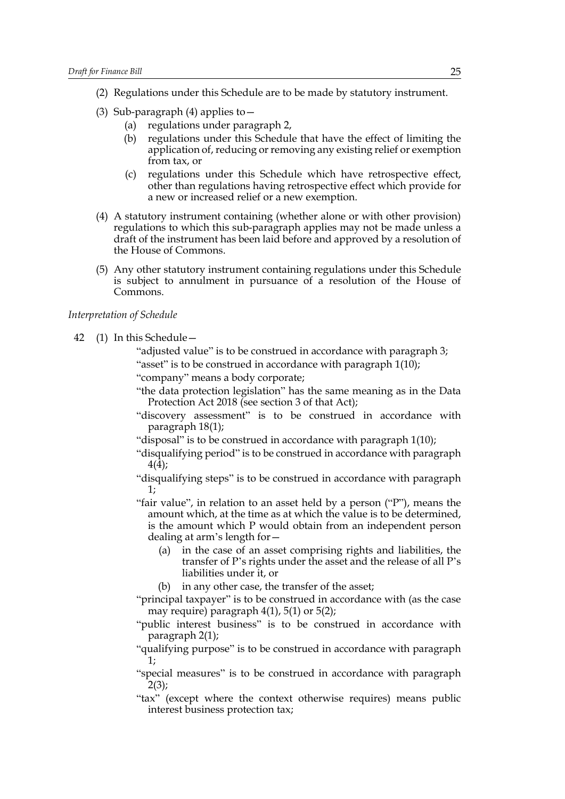- (2) Regulations under this Schedule are to be made by statutory instrument.
- (3) Sub-paragraph [\(4\)](#page-25-0) applies to  $-$ 
	- (a) regulations under paragraph [2,](#page-3-1)
	- (b) regulations under this Schedule that have the effect of limiting the application of, reducing or removing any existing relief or exemption from tax, or
	- (c) regulations under this Schedule which have retrospective effect, other than regulations having retrospective effect which provide for a new or increased relief or a new exemption.
- <span id="page-25-0"></span>(4) A statutory instrument containing (whether alone or with other provision) regulations to which this sub-paragraph applies may not be made unless a draft of the instrument has been laid before and approved by a resolution of the House of Commons.
- (5) Any other statutory instrument containing regulations under this Schedule is subject to annulment in pursuance of a resolution of the House of Commons.

# *Interpretation of Schedule*

42 (1) In this Schedule—

- "adjusted value" is to be construed in accordance with paragraph [3](#page-3-0); "asset" is to be construed in accordance with paragraph [1\(10\)](#page-2-1);
- "company" means a body corporate;
	- "the data protection legislation" has the same meaning as in the Data Protection Act 2018 (see section 3 of that Act);
	- "discovery assessment" is to be construed in accordance with paragraph [18\(1\)](#page-13-0);
- "disposal" is to be construed in accordance with paragraph [1\(10\)](#page-2-1);
- "disqualifying period" is to be construed in accordance with paragraph [4\(4\)](#page-4-5);
- "disqualifying steps" is to be construed in accordance with paragraph [1](#page-1-4);
- "fair value", in relation to an asset held by a person ("P"), means the amount which, at the time as at which the value is to be determined, is the amount which P would obtain from an independent person dealing at arm's length for—
	- (a) in the case of an asset comprising rights and liabilities, the transfer of P's rights under the asset and the release of all P's liabilities under it, or
	- (b) in any other case, the transfer of the asset;
- "principal taxpayer" is to be construed in accordance with (as the case may require) paragraph  $4(1)$ , [5\(1\)](#page-4-3) or [5\(2\)](#page-4-4);
- "public interest business" is to be construed in accordance with paragraph [2\(1\);](#page-3-1)
- "qualifying purpose" is to be construed in accordance with paragraph [1](#page-1-4);
- "special measures" is to be construed in accordance with paragraph  $2(3);$  $2(3);$
- "tax" (except where the context otherwise requires) means public interest business protection tax;